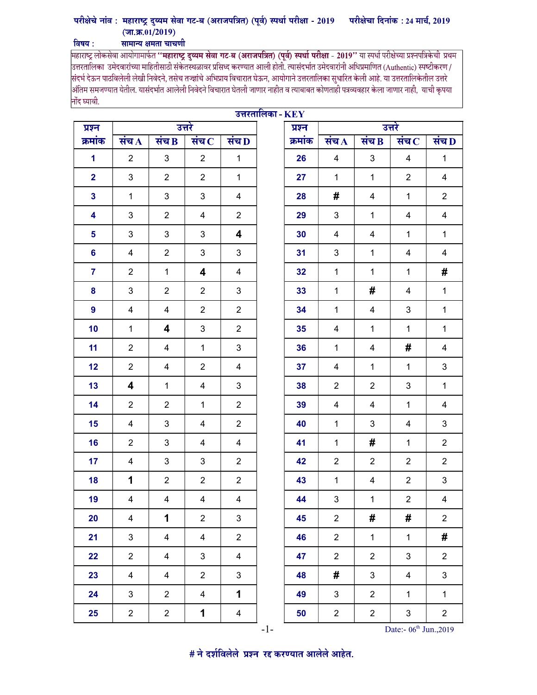## परीक्षेचे नांव : महाराष्ट्र दुय्यम सेवा गट-ब (अराजपत्रित) (पूर्व) स्पर्धा परीक्षा - 2019 परीक्षेचा दिनांक : 24 मार्च, 2019  $(\overline{\pi}, \overline{\pi}, 01/2019)$ विषय : सामान्य क्षमता चाचणी

महाराष्ट्र लोकसेवा आयोगामार्फत '**'महाराष्ट्र दुय्यम सेवा गट-ब (अराजपत्रित) (पूर्व) स्पर्धा परीक्षा - 2019''** या स्पर्धा परीक्षेच्या प्रश्नपत्रिकेची प्रथम<br>उत्तरतालिका उमेदवारांच्या माहितीसाठी संकेतस्थळावर प्रसिध्द करण्यात .<br>संदर्भ देऊन पाठविलेली लेखी निवेदने, तसेच तज्ज्ञांचे अभिप्राय विचारात घेऊन, आयोगाने उत्तरतालिका सुधारित केली आहे. या उत्तरतालिकेतील उत्तरे |<br>|अंतिम समजण्यात येतील. यासंदर्भात आलेली निवेदने विचारात घेतली जाणार नाहीत व त्याबाबत कोणताही पत्रव्यवहार केला जाणार नाही, याची कृपया नोंद घ्यावी.

| उत्तरतालिका - $\mathbf{KEY}$ |                |                         |                         |                |        |         |                |                |                         |                |
|------------------------------|----------------|-------------------------|-------------------------|----------------|--------|---------|----------------|----------------|-------------------------|----------------|
| प्रश्न                       | उत्तरे         |                         |                         |                | प्रश्न | उत्तरे  |                |                |                         |                |
| क्रमांक                      | संच $\bf{A}$   | संच $\bf{B}$            | संच $\, {\bf c}$        | संच D          |        | क्रमांक | संच $\Lambda$  | संच $\bf{B}$   | संच $\, {\bf c}$        | संच $\bf D$    |
| 1                            | $\overline{2}$ | $\mathfrak{B}$          | $\overline{2}$          | $\mathbf{1}$   |        | 26      | 4              | 3              | 4                       | $\mathbf{1}$   |
| $\overline{2}$               | 3              | $\overline{2}$          | $\overline{2}$          | $\mathbf{1}$   |        | 27      | $\mathbf{1}$   | $\mathbf{1}$   | $\overline{2}$          | $\overline{4}$ |
| $\mathbf{3}$                 | $\mathbf{1}$   | $\sqrt{3}$              | 3                       | $\overline{4}$ |        | 28      | #              | $\overline{4}$ | $\mathbf 1$             | $\overline{2}$ |
| $\overline{\mathbf{4}}$      | 3              | $\overline{2}$          | $\overline{4}$          | $\overline{2}$ |        | 29      | 3              | $\mathbf{1}$   | $\overline{\mathbf{4}}$ | $\overline{4}$ |
| 5                            | 3              | 3                       | 3                       | 4              |        | 30      | 4              | 4              | $\mathbf{1}$            | $\mathbf{1}$   |
| 6                            | 4              | $\overline{2}$          | 3                       | 3              |        | 31      | 3              | $\mathbf 1$    | 4                       | $\overline{4}$ |
| $\overline{7}$               | $\overline{2}$ | $\mathbf{1}$            | $\overline{\mathbf{4}}$ | 4              |        | 32      | $\mathbf 1$    | $\mathbf{1}$   | $\mathbf 1$             | #              |
| 8                            | 3              | $\overline{2}$          | $\overline{2}$          | 3              |        | 33      | $\mathbf{1}$   | #              | 4                       | $\mathbf{1}$   |
| 9                            | $\overline{4}$ | $\overline{4}$          | $\overline{2}$          | $\overline{2}$ |        | 34      | $\mathbf{1}$   | $\overline{4}$ | 3                       | $\mathbf{1}$   |
| 10                           | $\mathbf{1}$   | 4                       | 3                       | $\overline{2}$ |        | 35      | 4              | $\mathbf{1}$   | $\mathbf 1$             | $\mathbf{1}$   |
| 11                           | $\overline{2}$ | 4                       | $\mathbf{1}$            | 3              |        | 36      | $\mathbf{1}$   | 4              | #                       | $\overline{4}$ |
| 12                           | $\overline{2}$ | 4                       | $\overline{2}$          | 4              |        | 37      | 4              | $\mathbf{1}$   | $\mathbf 1$             | 3              |
| 13                           | 4              | $\mathbf{1}$            | 4                       | 3              |        | 38      | $\overline{2}$ | $\overline{2}$ | 3                       | $\mathbf{1}$   |
| 14                           | $\overline{2}$ | $\overline{2}$          | $\mathbf{1}$            | $\overline{2}$ |        | 39      | $\overline{4}$ | $\overline{4}$ | $\mathbf{1}$            | $\overline{4}$ |
| 15                           | $\overline{4}$ | $\mathbf{3}$            | 4                       | $\overline{2}$ |        | 40      | $\mathbf{1}$   | 3              | 4                       | 3              |
| 16                           | $\overline{2}$ | $\sqrt{3}$              | 4                       | 4              |        | 41      | $\mathbf{1}$   | #              | $\mathbf 1$             | $\overline{2}$ |
| 17                           | 4              | $\mathsf 3$             | 3                       | $\overline{2}$ |        | 42      | $\overline{2}$ | $\overline{2}$ | $\overline{2}$          | $\overline{2}$ |
| 18                           | 1              | $\overline{2}$          | $\overline{2}$          | $\overline{2}$ |        | 43      | $\mathbf{1}$   | 4              | $\overline{2}$          | 3              |
| 19                           | 4              | $\overline{4}$          | 4                       | $\overline{4}$ |        | 44      | 3              | $\mathbf{1}$   | $\boldsymbol{2}$        | $\overline{4}$ |
| 20                           | $\overline{4}$ | $\mathbf{1}$            | $\overline{2}$          | $\mathbf{3}$   |        | 45      | $\overline{2}$ | #              | #                       | $\overline{2}$ |
| 21                           | $\mathfrak{S}$ | 4                       | $\overline{4}$          | $\overline{2}$ |        | 46      | $\overline{2}$ | $\mathbf 1$    | $\mathbf{1}$            | #              |
| 22                           | $\overline{2}$ | $\overline{4}$          | 3                       | $\overline{4}$ |        | 47      | $\overline{2}$ | $\overline{2}$ | $\mathbf{3}$            | $\overline{2}$ |
| 23                           | 4              | $\overline{\mathbf{4}}$ | $\overline{2}$          | $\mathbf{3}$   |        | 48      | #              | $\mathfrak{S}$ | 4                       | 3              |
| 24                           | $\mathfrak{S}$ | $\overline{2}$          | $\overline{4}$          | $\mathbf 1$    |        | 49      | $\mathbf{3}$   | $\overline{2}$ | $\mathbf{1}$            | $\mathbf{1}$   |
| 25                           | $\overline{2}$ | $\overline{2}$          | 1                       | $\overline{4}$ |        | 50      | $\overline{2}$ | $\overline{2}$ | $\mathfrak{S}$          | $\overline{c}$ |

-1- Date:- 06<sup>th</sup> Jun.,2019

# ने दर्शविलेले प्रश्न रद्द करण्यात आलेले आहेत.